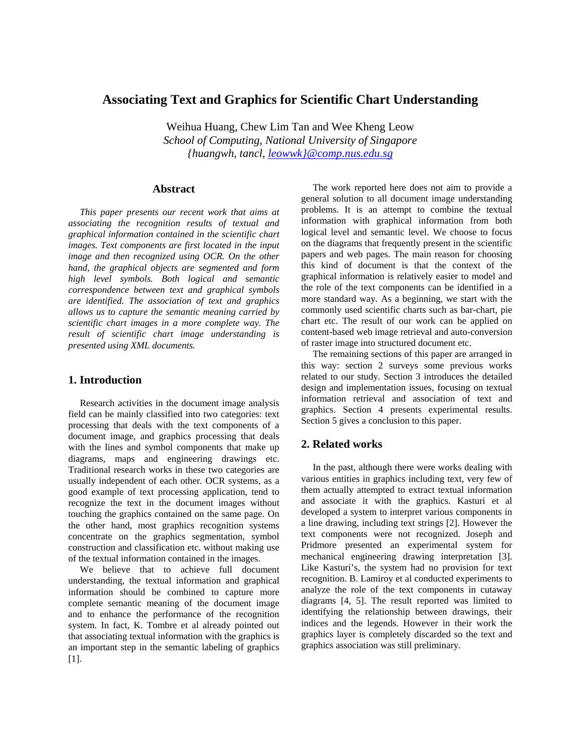# **Associating Text and Graphics for Scientific Chart Understanding**

Weihua Huang, Chew Lim Tan and Wee Kheng Leow *School of Computing, National University of Singapore {huangwh, tancl, [leowwk}@comp.nus.edu.sg](mailto:leowwk}@comp.nus.edu.sg)*

# **Abstract**

*This paper presents our recent work that aims at associating the recognition results of textual and graphical information contained in the scientific chart images. Text components are first located in the input image and then recognized using OCR. On the other hand, the graphical objects are segmented and form high level symbols. Both logical and semantic correspondence between text and graphical symbols are identified. The association of text and graphics allows us to capture the semantic meaning carried by scientific chart images in a more complete way. The result of scientific chart image understanding is presented using XML documents.* 

## **1. Introduction**

Research activities in the document image analysis field can be mainly classified into two categories: text processing that deals with the text components of a document image, and graphics processing that deals with the lines and symbol components that make up diagrams, maps and engineering drawings etc. Traditional research works in these two categories are usually independent of each other. OCR systems, as a good example of text processing application, tend to recognize the text in the document images without touching the graphics contained on the same page. On the other hand, most graphics recognition systems concentrate on the graphics segmentation, symbol construction and classification etc. without making use of the textual information contained in the images.

We believe that to achieve full document understanding, the textual information and graphical information should be combined to capture more complete semantic meaning of the document image and to enhance the performance of the recognition system. In fact, K. Tombre et al already pointed out that associating textual information with the graphics is an important step in the semantic labeling of graphics [1].

The work reported here does not aim to provide a general solution to all document image understanding problems. It is an attempt to combine the textual information with graphical information from both logical level and semantic level. We choose to focus on the diagrams that frequently present in the scientific papers and web pages. The main reason for choosing this kind of document is that the context of the graphical information is relatively easier to model and the role of the text components can be identified in a more standard way. As a beginning, we start with the commonly used scientific charts such as bar-chart, pie chart etc. The result of our work can be applied on content-based web image retrieval and auto-conversion of raster image into structured document etc.

The remaining sections of this paper are arranged in this way: section 2 surveys some previous works related to our study. Section 3 introduces the detailed design and implementation issues, focusing on textual information retrieval and association of text and graphics. Section 4 presents experimental results. Section 5 gives a conclusion to this paper.

# **2. Related works**

In the past, although there were works dealing with various entities in graphics including text, very few of them actually attempted to extract textual information and associate it with the graphics. Kasturi et al developed a system to interpret various components in a line drawing, including text strings [2]. However the text components were not recognized. Joseph and Pridmore presented an experimental system for mechanical engineering drawing interpretation [3]. Like Kasturi's, the system had no provision for text recognition. B. Lamiroy et al conducted experiments to analyze the role of the text components in cutaway diagrams [4, 5]. The result reported was limited to identifying the relationship between drawings, their indices and the legends. However in their work the graphics layer is completely discarded so the text and graphics association was still preliminary.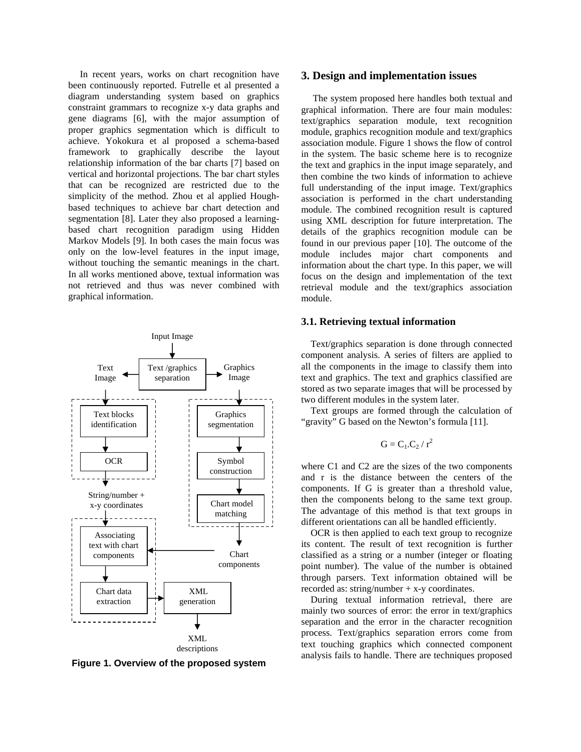In recent years, works on chart recognition have been continuously reported. Futrelle et al presented a diagram understanding system based on graphics constraint grammars to recognize x-y data graphs and gene diagrams [6], with the major assumption of proper graphics segmentation which is difficult to achieve. Yokokura et al proposed a schema-based framework to graphically describe the layout relationship information of the bar charts [7] based on vertical and horizontal projections. The bar chart styles that can be recognized are restricted due to the simplicity of the method. Zhou et al applied Houghbased techniques to achieve bar chart detection and segmentation [8]. Later they also proposed a learningbased chart recognition paradigm using Hidden Markov Models [9]. In both cases the main focus was only on the low-level features in the input image, without touching the semantic meanings in the chart. In all works mentioned above, textual information was not retrieved and thus was never combined with graphical information.



**Figure 1. Overview of the proposed system**

#### **3. Design and implementation issues**

The system proposed here handles both textual and graphical information. There are four main modules: text/graphics separation module, text recognition module, graphics recognition module and text/graphics association module. Figure 1 shows the flow of control in the system. The basic scheme here is to recognize the text and graphics in the input image separately, and then combine the two kinds of information to achieve full understanding of the input image. Text/graphics association is performed in the chart understanding module. The combined recognition result is captured using XML description for future interpretation. The details of the graphics recognition module can be found in our previous paper [10]. The outcome of the module includes major chart components and information about the chart type. In this paper, we will focus on the design and implementation of the text retrieval module and the text/graphics association module.

#### **3.1. Retrieving textual information**

Text/graphics separation is done through connected component analysis. A series of filters are applied to all the components in the image to classify them into text and graphics. The text and graphics classified are stored as two separate images that will be processed by two different modules in the system later.

Text groups are formed through the calculation of

$$
G = C_1.C_2 / r^2
$$

 $\frac{Symoot}{Symoot}$  where C1 and C2 are the sizes of the two components and r is the distance between the centers of the components. If G is greater than a threshold value, then the components belong to the same text group. The advantage of this method is that text groups in different orientations can all be handled efficiently.

> OCR is then applied to each text group to recognize its content. The result of text recognition is further classified as a string or a number (integer or floating point number). The value of the number is obtained through parsers. Text information obtained will be recorded as: string/number + x-y coordinates.

generation During textual information retrieval, there are mainly two sources of error: the error in text/graphics separation and the error in the character recognition process. Text/graphics separation errors come from text touching graphics which connected component analysis fails to handle. There are techniques proposed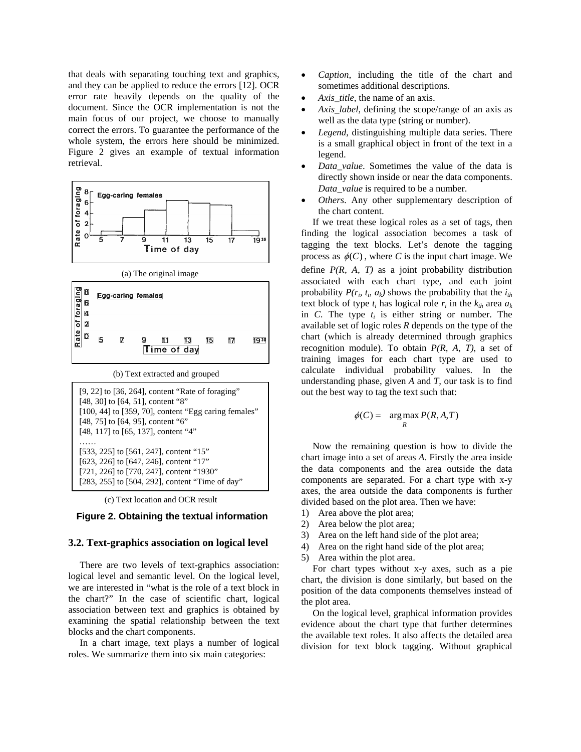that deals with separating touching text and graphics, and they can be applied to reduce the errors [12]. OCR error rate heavily depends on the quality of the document. Since the OCR implementation is not the main focus of our project, we choose to manually correct the errors. To guarantee the performance of the whole system, the errors here should be minimized. Figure 2 gives an example of textual information retrieval.



[623, 226] to [647, 246], content "17"

[721, 226] to [770, 247], content "1930"

[283, 255] to [504, 292], content "Time of day"



# **Figure 2. Obtaining the textual information**  $\begin{bmatrix} 1 \end{bmatrix}$  Area above the plot area;<br>2) Area below the plot area;

#### **3.2. Text-graphics association on logical level**

There are two levels of text-graphics association: logical level and semantic level. On the logical level, we are interested in "what is the role of a text block in the chart?" In the case of scientific chart, logical association between text and graphics is obtained by examining the spatial relationship between the text blocks and the chart components.

In a chart image, text plays a number of logical roles. We summarize them into six main categories:

- *Caption*, including the title of the chart and sometimes additional descriptions.
- *Axis\_title*, the name of an axis.
- *Axis\_label*, defining the scope/range of an axis as well as the data type (string or number).
- Legend, distinguishing multiple data series. There is a small graphical object in front of the text in a legend.
- *Data\_value*. Sometimes the value of the data is directly shown inside or near the data components. *Data\_value* is required to be a number.
- *Others*. Any other supplementary description of the chart content.

If we treat these logical roles as a set of tags, then finding the logical association becomes a task of tagging the text blocks. Let's denote the tagging process as  $\phi(C)$ , where *C* is the input chart image. We define  $P(R, A, T)$  as a joint probability distribution associated with each chart type, and each joint probability  $P(r_i, t_i, a_k)$  shows the probability that the  $i_{th}$ text block of type  $t_i$  has logical role  $r_i$  in the  $k_{th}$  area  $a_k$ in *C*. The type  $t_i$  is either string or number. The available set of logic roles *R* depends on the type of the chart (which is already determined through graphics recognition module). To obtain *P(R, A, T)*, a set of training images for each chart type are used to calculate individual probability values. In the understanding phase, given *A* and *T,* our task is to find out the best way to tag the text such that:

$$
\phi(C) = \arg \max_{R} P(R, A, T)
$$

Now the remaining question is how to divide the chart image into a set of areas *A*. Firstly the area inside the data components and the area outside the data components are separated. For a chart type with x-y axes, the area outside the data components is further divided based on the plot area. Then we have: (c) Text location and OCR result

- 
- 
- 3) Area on the left hand side of the plot area;
- 4) Area on the right hand side of the plot area;
- 5) Area within the plot area.

For chart types without x-y axes, such as a pie chart, the division is done similarly, but based on the position of the data components themselves instead of the plot area.

On the logical level, graphical information provides evidence about the chart type that further determines the available text roles. It also affects the detailed area division for text block tagging. Without graphical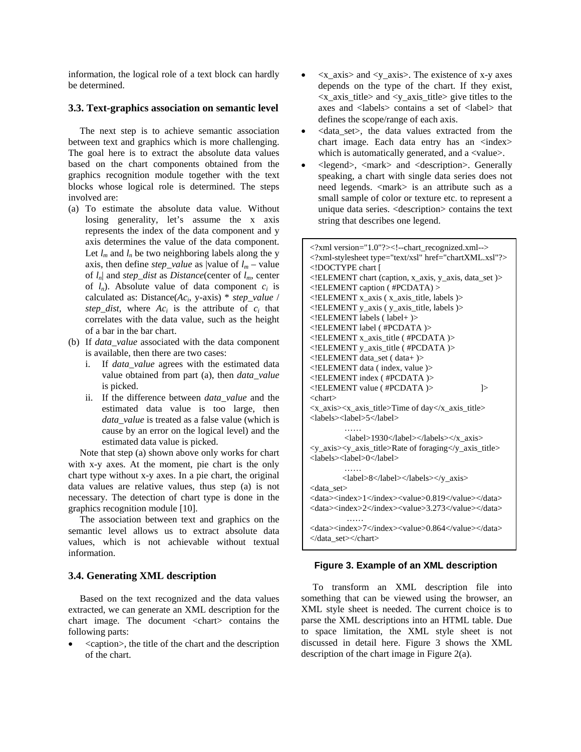information, the logical role of a text block can hardly be determined.

#### **3.3. Text-graphics association on semantic level**

The next step is to achieve semantic association between text and graphics which is more challenging. The goal here is to extract the absolute data values based on the chart components obtained from the graphics recognition module together with the text blocks whose logical role is determined. The steps involved are:

- (a) To estimate the absolute data value. Without losing generality, let's assume the x axis represents the index of the data component and y axis determines the value of the data component. Let  $l_m$  and  $l_n$  be two neighboring labels along the y axis, then define *step\_value* as |value of  $l_m$  – value of *ln*| and *step\_dist* as *Distance*(center of *lm*, center of  $l_n$ ). Absolute value of data component  $c_i$  is calculated as: Distance(*Aci*, y-axis) \* *step\_value* /  $step\_dist$ , where  $Ac_i$  is the attribute of  $c_i$  that correlates with the data value, such as the height of a bar in the bar chart.
- (b) If *data\_value* associated with the data component is available, then there are two cases:
	- i. If *data\_value* agrees with the estimated data value obtained from part (a), then *data\_value* is picked.
	- ii. If the difference between *data\_value* and the estimated data value is too large, then *data\_value* is treated as a false value (which is cause by an error on the logical level) and the estimated data value is picked.

Note that step (a) shown above only works for chart with x-y axes. At the moment, pie chart is the only chart type without x-y axes. In a pie chart, the original data values are relative values, thus step (a) is not necessary. The detection of chart type is done in the graphics recognition module [10].

The association between text and graphics on the semantic level allows us to extract absolute data values, which is not achievable without textual information.

#### **3.4. Generating XML description**

Based on the text recognized and the data values extracted, we can generate an XML description for the chart image. The document <chart> contains the following parts:

• <caption>, the title of the chart and the description of the chart.

- $\langle x \rangle$  axis and  $\langle y \rangle$  axis  $\langle x \rangle$ . The existence of x-y axes depends on the type of the chart. If they exist, <x\_axis\_title> and <y\_axis\_title> give titles to the axes and <labels> contains a set of <label> that defines the scope/range of each axis.
- <data\_set>, the data values extracted from the chart image. Each data entry has an <index> which is automatically generated, and a <value>.
- <legend>, <mark> and <description>. Generally speaking, a chart with single data series does not need legends. <mark> is an attribute such as a small sample of color or texture etc. to represent a unique data series. <description> contains the text string that describes one legend.

<?xml version="1.0"?><!--chart\_recognized.xml--> <?xml-stylesheet type="text/xsl" href="chartXML.xsl"?> <!DOCTYPE chart [ <!ELEMENT chart (caption, x\_axis, y\_axis, data\_set )> <!ELEMENT caption ( #PCDATA) > <!ELEMENT x\_axis ( x\_axis\_title, labels )> <!ELEMENT y\_axis ( y\_axis\_title, labels )> <!ELEMENT labels ( label+ )> <!ELEMENT label ( #PCDATA )> <!ELEMENT x\_axis\_title ( #PCDATA )> <!ELEMENT y\_axis\_title ( #PCDATA )> <!ELEMENT data\_set ( data+ )> <!ELEMENT data ( index, value )> <!ELEMENT index ( #PCDATA )> <!ELEMENT value ( #PCDATA )> ]> <chart> <x\_axis><x\_axis\_title>Time of day</x\_axis\_title> <labels><label>5</label> …… <label>1930</label></labels></x\_axis> <y\_axis><y\_axis\_title>Rate of foraging</y\_axis\_title> <labels><label>0</label> …… <label>8</label></labels></y\_axis> <data\_set> <data><index>1</index><value>0.819</value></data> <data><index>2</index><value>3.273</value></data> …… <data><index>7</index><value>0.864</value></data> </data\_set></chart>

# **Figure 3. Example of an XML description**

To transform an XML description file into something that can be viewed using the browser, an XML style sheet is needed. The current choice is to parse the XML descriptions into an HTML table. Due to space limitation, the XML style sheet is not discussed in detail here. Figure 3 shows the XML description of the chart image in Figure 2(a).